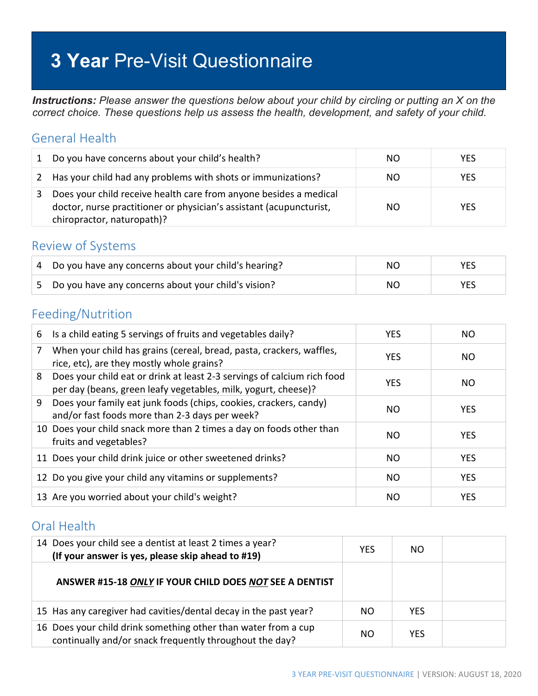# **3 Year** Pre-Visit Questionnaire

*Instructions: Please answer the questions below about your child by circling or putting an X on the correct choice. These questions help us assess the health, development, and safety of your child.*

#### General Health

| 1 | Do you have concerns about your child's health?                                                                                                                        | NO. | <b>YES</b> |
|---|------------------------------------------------------------------------------------------------------------------------------------------------------------------------|-----|------------|
|   | 2 Has your child had any problems with shots or immunizations?                                                                                                         | NΟ  | <b>YES</b> |
|   | Does your child receive health care from anyone besides a medical<br>doctor, nurse practitioner or physician's assistant (acupuncturist,<br>chiropractor, naturopath)? | NO. | <b>YES</b> |

#### Review of Systems

| Do you have any concerns about your child's hearing? | NO. |  |
|------------------------------------------------------|-----|--|
| Do you have any concerns about your child's vision?  | NO. |  |

#### Feeding/Nutrition

| 6 | Is a child eating 5 servings of fruits and vegetables daily?                                                                              | <b>YES</b> | NO.        |
|---|-------------------------------------------------------------------------------------------------------------------------------------------|------------|------------|
| 7 | When your child has grains (cereal, bread, pasta, crackers, waffles,<br>rice, etc), are they mostly whole grains?                         | <b>YES</b> | NO.        |
| 8 | Does your child eat or drink at least 2-3 servings of calcium rich food<br>per day (beans, green leafy vegetables, milk, yogurt, cheese)? | <b>YES</b> | NO.        |
| 9 | Does your family eat junk foods (chips, cookies, crackers, candy)<br>and/or fast foods more than 2-3 days per week?                       | NO         | <b>YES</b> |
|   | 10 Does your child snack more than 2 times a day on foods other than<br>fruits and vegetables?                                            | NO.        | <b>YES</b> |
|   | 11 Does your child drink juice or other sweetened drinks?                                                                                 | <b>NO</b>  | <b>YES</b> |
|   | 12 Do you give your child any vitamins or supplements?                                                                                    | <b>NO</b>  | <b>YES</b> |
|   | 13 Are you worried about your child's weight?                                                                                             | NO.        | <b>YES</b> |

### Oral Health

| 14 Does your child see a dentist at least 2 times a year?<br>(If your answer is yes, please skip ahead to #19)            | <b>YES</b> | NO.        |  |
|---------------------------------------------------------------------------------------------------------------------------|------------|------------|--|
| ANSWER #15-18 ONLY IF YOUR CHILD DOES NOT SEE A DENTIST                                                                   |            |            |  |
| 15 Has any caregiver had cavities/dental decay in the past year?                                                          | NO.        | <b>YES</b> |  |
| 16 Does your child drink something other than water from a cup<br>continually and/or snack frequently throughout the day? | NO.        | <b>YES</b> |  |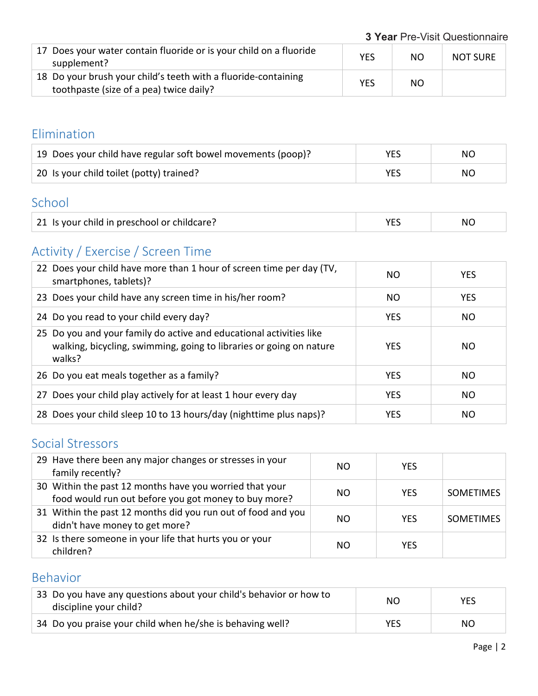**3 Year** Pre-Visit Questionnaire

| 17 Does your water contain fluoride or is your child on a fluoride<br>supplement?                         | <b>YES</b> | NO | <b>NOT SURE</b> |
|-----------------------------------------------------------------------------------------------------------|------------|----|-----------------|
| 18 Do your brush your child's teeth with a fluoride-containing<br>toothpaste (size of a pea) twice daily? | <b>YES</b> | NO |                 |

### Elimination

| 19 Does your child have regular soft bowel movements (poop)? | YES | NO. |
|--------------------------------------------------------------|-----|-----|
| 20 Is your child toilet (potty) trained?                     | VFC | NO. |

#### School

| 21 Is your child in preschool or childcare? |  | NC. |
|---------------------------------------------|--|-----|
|---------------------------------------------|--|-----|

## Activity / Exercise / Screen Time

| 22 Does your child have more than 1 hour of screen time per day (TV,<br>smartphones, tablets)?                                                       | NO.        | <b>YES</b> |
|------------------------------------------------------------------------------------------------------------------------------------------------------|------------|------------|
| 23 Does your child have any screen time in his/her room?                                                                                             | NO.        | <b>YES</b> |
| 24 Do you read to your child every day?                                                                                                              | <b>YES</b> | NO.        |
| 25 Do you and your family do active and educational activities like<br>walking, bicycling, swimming, going to libraries or going on nature<br>walks? | <b>YES</b> | NO.        |
| 26 Do you eat meals together as a family?                                                                                                            | <b>YES</b> | NO.        |
| 27 Does your child play actively for at least 1 hour every day                                                                                       | <b>YES</b> | NO.        |
| 28 Does your child sleep 10 to 13 hours/day (nighttime plus naps)?                                                                                   | <b>YES</b> | NO.        |

## Social Stressors

| 29 Have there been any major changes or stresses in your<br>family recently?                                    | NO. | <b>YES</b> |                  |
|-----------------------------------------------------------------------------------------------------------------|-----|------------|------------------|
| 30 Within the past 12 months have you worried that your<br>food would run out before you got money to buy more? | NO. | <b>YES</b> | <b>SOMETIMES</b> |
| 31 Within the past 12 months did you run out of food and you<br>didn't have money to get more?                  | NΟ  | <b>YFS</b> | <b>SOMETIMES</b> |
| 32 Is there someone in your life that hurts you or your<br>children?                                            | NΟ  | YFS        |                  |

## Behavior

| 33 Do you have any questions about your child's behavior or how to<br>discipline your child? | NO. | <b>YES</b> |
|----------------------------------------------------------------------------------------------|-----|------------|
| 34 Do you praise your child when he/she is behaving well?                                    | YES | NO.        |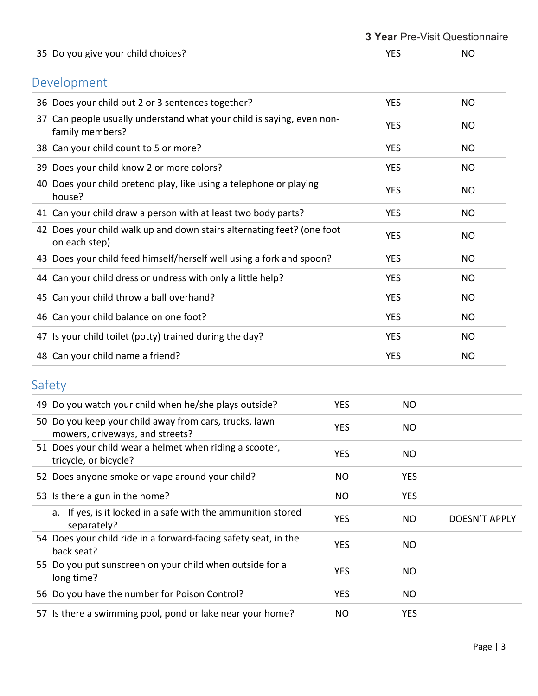| 35 Do you give your child choices? |  | NC. |
|------------------------------------|--|-----|
|------------------------------------|--|-----|

## Development

| 36 Does your child put 2 or 3 sentences together?                                        | <b>YES</b> | NO             |
|------------------------------------------------------------------------------------------|------------|----------------|
| 37 Can people usually understand what your child is saying, even non-<br>family members? | <b>YES</b> | N <sub>O</sub> |
| 38 Can your child count to 5 or more?                                                    | <b>YES</b> | NO.            |
| 39 Does your child know 2 or more colors?                                                | <b>YES</b> | NO.            |
| 40 Does your child pretend play, like using a telephone or playing<br>house?             | <b>YES</b> | NO.            |
| 41 Can your child draw a person with at least two body parts?                            | <b>YES</b> | NO             |
| 42 Does your child walk up and down stairs alternating feet? (one foot<br>on each step)  | <b>YES</b> | N <sub>O</sub> |
| 43 Does your child feed himself/herself well using a fork and spoon?                     | <b>YES</b> | N <sub>O</sub> |
| 44 Can your child dress or undress with only a little help?                              | <b>YES</b> | NO.            |
| 45 Can your child throw a ball overhand?                                                 | <b>YES</b> | N <sub>O</sub> |
| 46 Can your child balance on one foot?                                                   | <b>YES</b> | N <sub>O</sub> |
| 47 Is your child toilet (potty) trained during the day?                                  | <b>YES</b> | N <sub>O</sub> |
| 48 Can your child name a friend?                                                         | <b>YES</b> | <b>NO</b>      |

## Safety

| 49 Do you watch your child when he/she plays outside?                                     | <b>YES</b> | <b>NO</b>  |               |
|-------------------------------------------------------------------------------------------|------------|------------|---------------|
| 50 Do you keep your child away from cars, trucks, lawn<br>mowers, driveways, and streets? | <b>YES</b> | NO.        |               |
| 51 Does your child wear a helmet when riding a scooter,<br>tricycle, or bicycle?          | YES.       | NO.        |               |
| 52 Does anyone smoke or vape around your child?                                           | NO         | <b>YES</b> |               |
| 53 Is there a gun in the home?                                                            | NO.        | <b>YES</b> |               |
| a. If yes, is it locked in a safe with the ammunition stored<br>separately?               | <b>YES</b> | NO.        | DOESN'T APPLY |
| 54 Does your child ride in a forward-facing safety seat, in the<br>back seat?             | <b>YES</b> | <b>NO</b>  |               |
| 55 Do you put sunscreen on your child when outside for a<br>long time?                    | <b>YES</b> | NO.        |               |
| 56 Do you have the number for Poison Control?                                             | <b>YES</b> | NO.        |               |
| 57 Is there a swimming pool, pond or lake near your home?                                 | NO         | <b>YES</b> |               |